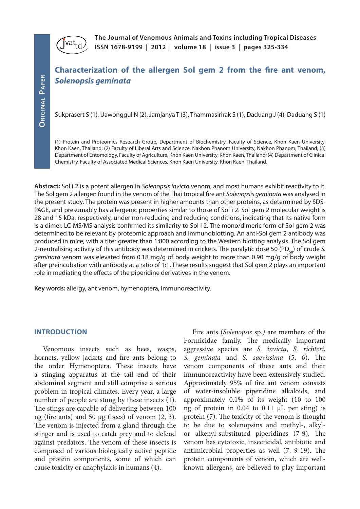

**The Journal of Venomous Animals and Toxins including Tropical Diseases ISSN 1678-9199 | 2012 | volume 18 | issue 3 | pages 325-334** 

# **Characterization of the allergen Sol gem 2 from the fire ant venom,**  *Solenopsis geminata*

Sukprasert S (1), Uawonggul N (2), Jamjanya T (3), Thammasirirak S (1), Daduang J (4), Daduang S (1)

(1) Protein and Proteomics Research Group, Department of Biochemistry, Faculty of Science, Khon Kaen University, Khon Kaen, Thailand; (2) Faculty of Liberal Arts and Science, Nakhon Phanom University, Nakhon Phanom, Thailand; (3) Department of Entomology, Faculty of Agriculture, Khon Kaen University, Khon Kaen, Thailand; (4) Department of Clinical Chemistry, Faculty of Associated Medical Sciences, Khon Kaen University, Khon Kaen, Thailand.

**Abstract:** Sol i 2 is a potent allergen in *Solenopsis invicta* venom, and most humans exhibit reactivity to it. The Sol gem 2 allergen found in the venom of the Thai tropical fire ant *Solenopsis geminata* was analysed in the present study. The protein was present in higher amounts than other proteins, as determined by SDS-PAGE, and presumably has allergenic properties similar to those of Sol i 2. Sol gem 2 molecular weight is 28 and 15 kDa, respectively, under non-reducing and reducing conditions, indicating that its native form is a dimer. LC-MS/MS analysis confirmed its similarity to Sol i 2. The mono/dimeric form of Sol gem 2 was determined to be relevant by proteomic approach and immunoblotting. An anti-Sol gem 2 antibody was produced in mice, with a titer greater than 1:800 according to the Western blotting analysis. The Sol gem 2-neutralising activity of this antibody was determined in crickets. The paralytic dose 50 (PD<sub>50</sub>) of crude S. *geminata* venom was elevated from 0.18 mg/g of body weight to more than 0.90 mg/g of body weight after preincubation with antibody at a ratio of 1:1. These results suggest that Sol gem 2 plays an important role in mediating the effects of the piperidine derivatives in the venom.

**Key words:** allergy, ant venom, hymenoptera, immunoreactivity.

#### **INTRODUCTION**

Venomous insects such as bees, wasps, hornets, yellow jackets and fire ants belong to the order Hymenoptera. These insects have a stinging apparatus at the tail end of their abdominal segment and still comprise a serious problem in tropical climates. Every year, a large number of people are stung by these insects (1). The stings are capable of delivering between 100 ng (fire ants) and 50 μg (bees) of venom  $(2, 3)$ . The venom is injected from a gland through the stinger and is used to catch prey and to defend against predators. The venom of these insects is composed of various biologically active peptide and protein components, some of which can cause toxicity or anaphylaxis in humans (4).

Fire ants (*Solenopsis* sp*.)* are members of the Formicidae family. The medically important aggressive species are *S. invicta*, *S. richteri*, *S. geminata* and *S. saevissima* (5, 6). The venom components of these ants and their immunoreactivity have been extensively studied. Approximately 95% of fire ant venom consists of water-insoluble piperidine alkaloids, and approximately 0.1% of its weight (10 to 100 ng of protein in 0.04 to 0.11 μL per sting) is protein (7). The toxicity of the venom is thought to be due to solenopsins and methyl-, alkylor alkenyl-substituted piperidines (7-9). The venom has cytotoxic, insecticidal, antibiotic and antimicrobial properties as well (7, 9-19). The protein components of venom, which are wellknown allergens, are believed to play important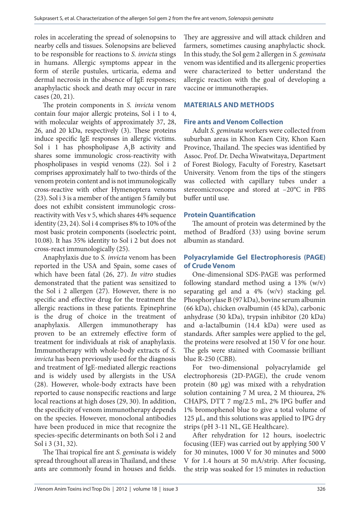roles in accelerating the spread of solenopsins to nearby cells and tissues. Solenopsins are believed to be responsible for reactions to *S. invicta* stings in humans. Allergic symptoms appear in the form of sterile pustules, urticaria, edema and dermal necrosis in the absence of IgE responses; anaphylactic shock and death may occur in rare cases (20, 21).

The protein components in *S. invicta* venom contain four major allergic proteins, Sol i 1 to 4, with molecular weights of approximately 37, 28, 26, and 20 kDa, respectively (3). These proteins induce specific IgE responses in allergic victims. Sol i 1 has phospholipase  $A_1B$  activity and shares some immunologic cross-reactivity with phospholipases in vespid venoms (22). Sol i 2 comprises approximately half to two-thirds of the venom protein content and is not immunologically cross-reactive with other Hymenoptera venoms (23). Sol i 3 is a member of the antigen 5 family but does not exhibit consistent immunologic crossreactivity with Ves v 5, which shares 44% sequence identity (23, 24). Sol i 4 comprises 8% to 10% of the most basic protein components (isoelectric point, 10.08). It has 35% identity to Sol i 2 but does not cross-react immunologically (25).

Anaphylaxis due to *S. invicta* venom has been reported in the USA and Spain, some cases of which have been fatal (26, 27). *In vitro* studies demonstrated that the patient was sensitized to the Sol i 2 allergen (27). However, there is no specific and effective drug for the treatment the allergic reactions in these patients. Epinephrine is the drug of choice in the treatment of anaphylaxis. Allergen immunotherapy has proven to be an extremely effective form of treatment for individuals at risk of anaphylaxis. Immunotherapy with whole-body extracts of *S. invicta* has been previously used for the diagnosis and treatment of IgE-mediated allergic reactions and is widely used by allergists in the USA (28). However, whole-body extracts have been reported to cause nonspecific reactions and large local reactions at high doses (29, 30). In addition, the specificity of venom immunotherapy depends on the species. However, monoclonal antibodies have been produced in mice that recognize the species-specific determinants on both Sol i 2 and Sol i 3 (31, 32).

The Thai tropical fire ant *S. geminata* is widely spread throughout all areas in Thailand, and these ants are commonly found in houses and fields.

They are aggressive and will attack children and farmers, sometimes causing anaphylactic shock. In this study, the Sol gem 2 allergen in *S. geminata* venom was identified and its allergenic properties were characterized to better understand the allergic reaction with the goal of developing a vaccine or immunotherapies.

### **MATERIALS AND METHODS**

### **Fire ants and Venom Collection**

Adult *S. geminata* workers were collected from suburban areas in Khon Kaen City, Khon Kaen Province, Thailand. The species was identified by Assoc. Prof. Dr. Decha Wiwatwitaya, Department of Forest Biology, Faculty of Forestry, Kasetsart University. Venom from the tips of the stingers was collected with capillary tubes under a stereomicroscope and stored at –20°C in PBS buffer until use.

### **Protein Quantification**

The amount of protein was determined by the method of Bradford (33) using bovine serum albumin as standard.

## **Polyacrylamide Gel Electrophoresis (PAGE) of Crude Venom**

One-dimensional SDS-PAGE was performed following standard method using a 13% (w/v) separating gel and a 4% (w/v) stacking gel. Phosphorylase B (97 kDa), bovine serum albumin (66 kDa), chicken ovalbumin (45 kDa), carbonic anhydrase (30 kDa), trypsin inhibitor (20 kDa) and α-lactalbumin (14.4 kDa) were used as standards. After samples were applied to the gel, the proteins were resolved at 150 V for one hour. The gels were stained with Coomassie brilliant blue R-250 (CBB).

For two-dimensional polyacrylamide gel electrophoresis (2D-PAGE), the crude venom protein (80 µg) was mixed with a rehydration solution containing 7 M urea, 2 M thiourea, 2% CHAPS, DTT 7 mg/2.5 mL, 2% IPG buffer and 1% bromophenol blue to give a total volume of 125  $\mu$ L, and this solutions was applied to IPG dry strips (pH 3-11 NL, GE Healthcare).

After rehydration for 12 hours, isoelectric focusing (IEF) was carried out by applying 500 V for 30 minutes, 1000 V for 30 minutes and 5000 V for 1.4 hours at 50 mA/strip. After focusing, the strip was soaked for 15 minutes in reduction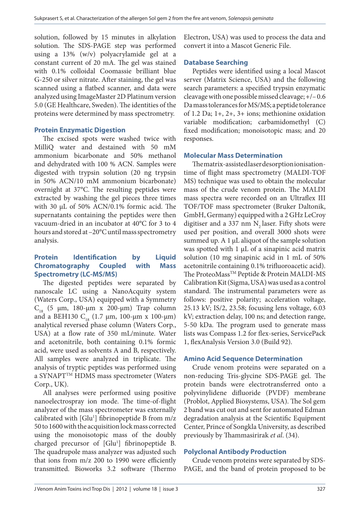solution, followed by 15 minutes in alkylation solution. The SDS-PAGE step was performed using a 13% (w/v) polyacrylamide gel at a constant current of 20 mA. The gel was stained with 0.1% colloidal Coomassie brilliant blue G-250 or silver nitrate. After staining, the gel was scanned using a flatbed scanner, and data were analyzed using ImageMaster 2D Platinum version 5.0 (GE Healthcare, Sweden). The identities of the proteins were determined by mass spectrometry.

### **Protein Enzymatic Digestion**

The excised spots were washed twice with MilliQ water and destained with 50 mM ammonium bicarbonate and 50% methanol and dehydrated with 100 % ACN. Samples were digested with trypsin solution (20 ng trypsin in 50% ACN/10 mM ammonium bicarbonate) overnight at 37°C. The resulting peptides were extracted by washing the gel pieces three times with 30 µL of 50% ACN/0.1% formic acid. The supernatants containing the peptides were then vacuum-dried in an incubator at 40°C for 3 to 4 hours and stored at –20°C until mass spectrometry analysis.

### **Protein Identification by Liquid Chromatography Coupled with Mass Spectrometry (LC-MS/MS)**

The digested peptides were separated by nanoscale LC using a NanoAcquity system (Waters Corp., USA) equipped with a Symmetry  $C<sub>18</sub>$  (5 μm, 180-μm x 200-μm) Trap column and a BEH130  $C_{18}$  (1.7 µm, 100-µm x 100-µm) analytical reversed phase column (Waters Corp., USA) at a flow rate of 350 mL/minute. Water and acetonitrile, both containing 0.1% formic acid, were used as solvents A and B, respectively. All samples were analyzed in triplicate. The analysis of tryptic peptides was performed using a SYNAPT<sup>TM</sup> HDMS mass spectrometer (Waters Corp., UK).

All analyses were performed using positive nanoelectrospray ion mode. The time-of-flight analyzer of the mass spectrometer was externally calibrated with [Glu<sup>1</sup>] fibrinopeptide B from m/z 50 to 1600 with the acquisition lock mass corrected using the monoisotopic mass of the doubly charged precursor of [Glu<sup>1</sup>] fibrinopeptide B. The quadrupole mass analyzer was adjusted such that ions from m/z 200 to 1990 were efficiently transmitted. Bioworks 3.2 software (Thermo

Electron, USA) was used to process the data and convert it into a Mascot Generic File.

### **Database Searching**

Peptides were identified using a local Mascot server (Matrix Science, USA) and the following search parameters: a specified trypsin enzymatic cleavage with one possible missed cleavage; +/– 0.6 Da mass tolerances for MS/MS; a peptide tolerance of 1.2 Da; 1+, 2+, 3+ ions; methionine oxidation variable modification; carbamidomethyl (C) fixed modification; monoisotopic mass; and 20 responses.

### **Molecular Mass Determination**

The matrix-assisted laser desorption ionisationtime of flight mass spectrometry (MALDI-TOF MS) technique was used to obtain the molecular mass of the crude venom protein. The MALDI mass spectra were recorded on an Ultraflex III TOF/TOF mass spectrometer (Bruker Daltonik, GmbH, Germany) equipped with a 2 GHz LeCroy digitiser and a 337 nm  $N_2$  laser. Fifty shots were used per position, and overall 3000 shots were summed up. A  $1 \mu$ L aliquot of the sample solution was spotted with 1 µL of a sinapinic acid matrix solution (10 mg sinapinic acid in 1 mL of 50% acetonitrile containing 0.1% trifluoroacetic acid). The ProteoMass™ Peptide & Protein MALDI-MS Calibration Kit (Sigma, USA) was used as a control standard. The instrumental parameters were as follows: positive polarity; acceleration voltage, 25.13 kV; IS/2, 23.58; focusing lens voltage, 6.03 kV; extraction delay, 100 ns; and detection range, 5-50 kDa. The program used to generate mass lists was Compass 1.2 for flex-series, ServicePack 1, flexAnalysis Version 3.0 (Build 92).

### **Amino Acid Sequence Determination**

Crude venom proteins were separated on a non-reducing Tris-glycine SDS-PAGE gel. The protein bands were electrotransferred onto a polyvinylidene difluoride (PVDF) membrane (Problot, Applied Biosystems, USA). The Sol gem 2 band was cut out and sent for automated Edman degradation analysis at the Scientific Equipment Center, Prince of Songkla University, as described previously by Thammasirirak *et al*. (34).

## **Polyclonal Antibody Production**

Crude venom proteins were separated by SDS-PAGE, and the band of protein proposed to be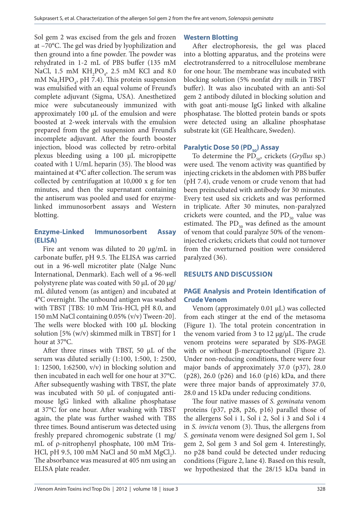Sol gem 2 was excised from the gels and frozen at –70°C. The gel was dried by lyophilization and then ground into a fine powder. The powder was rehydrated in 1-2 mL of PBS buffer (135 mM NaCl, 1.5 mM  $KH_2PO_4$ , 2.5 mM KCl and 8.0  $\text{mM Na}_{2} \text{HPO}_{4}$ , pH 7.4). This protein suspension was emulsified with an equal volume of Freund's complete adjuvant (Sigma, USA). Anesthetized mice were subcutaneously immunized with approximately 100  $\mu$ L of the emulsion and were boosted at 2-week intervals with the emulsion prepared from the gel suspension and Freund's incomplete adjuvant. After the fourth booster injection, blood was collected by retro-orbital plexus bleeding using a 100 μL micropipette coated with 1 U/mL heparin (35). The blood was maintained at 4°C after collection. The serum was collected by centrifugation at 10,000 x g for ten minutes, and then the supernatant containing the antiserum was pooled and used for enzymelinked immunosorbent assays and Western blotting.

## **Enzyme-Linked Immunosorbent Assay (ELISA)**

Fire ant venom was diluted to 20 μg/mL in carbonate buffer, pH 9.5. The ELISA was carried out in a 96-well microtiter plate (Nalge Nunc International, Denmark). Each well of a 96-well polystyrene plate was coated with 50  $\mu$ L of 20  $\mu$ g/ mL diluted venom (as antigen) and incubated at 4°C overnight. The unbound antigen was washed with TBST [TBS: 10 mM Tris-HCl, pH 8.0, and 150 mM NaCl containing 0.05% (v/v) Tween-20]. The wells were blocked with 100 μL blocking solution [5% (w/v) skimmed milk in TBST] for 1 hour at 37°C.

After three rinses with TBST, 50 μL of the serum was diluted serially (1:100, 1:500, 1: 2500, 1: 12500, 1:62500, v/v) in blocking solution and then incubated in each well for one hour at 37°C. After subsequently washing with TBST, the plate was incubated with 50 μL of conjugated antimouse IgG linked with alkaline phosphatase at 37°C for one hour. After washing with TBST again, the plate was further washed with TBS three times. Bound antiserum was detected using freshly prepared chromogenic substrate (1 mg/ mL of  $\rho$ -nitrophenyl phosphate, 100 mM Tris-HCl, pH 9.5, 100 mM NaCl and 50 mM  $MgCl<sub>2</sub>$ ). The absorbance was measured at 405 nm using an ELISA plate reader.

## **Western Blotting**

After electrophoresis, the gel was placed into a blotting apparatus, and the proteins were electrotransferred to a nitrocellulose membrane for one hour. The membrane was incubated with blocking solution (5% nonfat dry milk in TBST buffer). It was also incubated with an anti-Sol gem 2 antibody diluted in blocking solution and with goat anti-mouse IgG linked with alkaline phosphatase. The blotted protein bands or spots were detected using an alkaline phosphatase substrate kit (GE Healthcare, Sweden).

## **Paralytic Dose 50 (PD<sub>50</sub>) Assay**

To determine the PD<sub>50</sub>, crickets (*Gryllus* sp.) were used. The venom activity was quantified by injecting crickets in the abdomen with PBS buffer (pH 7.4), crude venom or crude venom that had been preincubated with antibody for 30 minutes. Every test used six crickets and was performed in triplicate. After 30 minutes, non-paralyzed crickets were counted, and the  $PD_{50}$  value was estimated. The  $PD_{50}$  was defined as the amount of venom that could paralyze 50% of the venominjected crickets; crickets that could not turnover from the overturned position were considered paralyzed (36).

## **RESULTS AND DISCUSSION**

## **PAGE Analysis and Protein Identification of Crude Venom**

Venom (approximately 0.01 μL) was collected from each stinger at the end of the metasoma (Figure 1). The total protein concentration in the venom varied from 3 to 12 μg/μL. The crude venom proteins were separated by SDS-PAGE with or without  $\beta$ -mercaptoethanol (Figure 2). Under non-reducing conditions, there were four major bands of approximately 37.0 (p37), 28.0 (p28), 26.0 (p26) and 16.0 (p16) kDa, and there were three major bands of approximately 37.0, 28.0 and 15 kDa under reducing conditions.

The four native masses of *S. geminata* venom proteins (p37, p28, p26, p16) parallel those of the allergens Sol i 1, Sol i 2, Sol i 3 and Sol i 4 in *S. invicta* venom (3). Thus, the allergens from *S. geminata* venom were designed Sol gem 1, Sol gem 2, Sol gem 3 and Sol gem 4. Interestingly, no p28 band could be detected under reducing conditions (Figure 2, lane 4). Based on this result, we hypothesized that the 28/15 kDa band in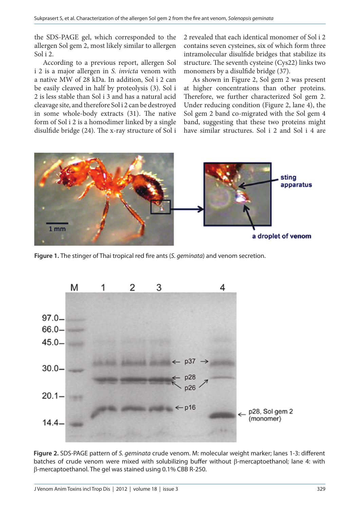the SDS-PAGE gel, which corresponded to the allergen Sol gem 2, most likely similar to allergen Sol i 2.

According to a previous report, allergen Sol i 2 is a major allergen in *S. invicta* venom with a native MW of 28 kDa. In addition, Sol i 2 can be easily cleaved in half by proteolysis (3). Sol i 2 is less stable than Sol i 3 and has a natural acid cleavage site, and therefore Sol i 2 can be destroyed in some whole-body extracts (31). The native form of Sol i 2 is a homodimer linked by a single disulfide bridge (24). The x-ray structure of Sol i

2 revealed that each identical monomer of Sol i 2 contains seven cysteines, six of which form three intramolecular disulfide bridges that stabilize its structure. The seventh cysteine (Cys22) links two monomers by a disulfide bridge (37).

As shown in Figure 2, Sol gem 2 was present at higher concentrations than other proteins. Therefore, we further characterized Sol gem 2. Under reducing condition (Figure 2, lane 4), the Sol gem 2 band co-migrated with the Sol gem 4 band, suggesting that these two proteins might have similar structures. Sol i 2 and Sol i 4 are



**Figure 1.** The stinger of Thai tropical red fire ants (*S. geminata*) and venom secretion.



**Figure 2.** SDS-PAGE pattern of *S. geminata* crude venom. M: molecular weight marker; lanes 1-3: different batches of crude venom were mixed with solubilizing buffer without  $\beta$ -mercaptoethanol; lane 4: with b-mercaptoethanol. The gel was stained using 0.1% CBB R-250.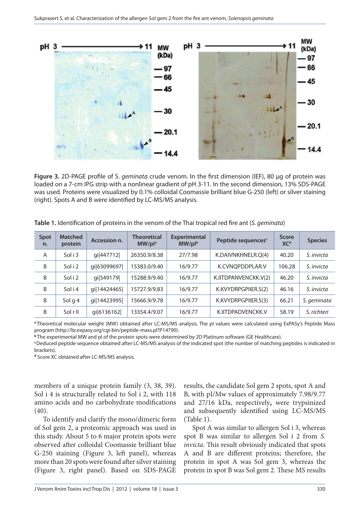

**Figure 3.** 2D-PAGE profile of S. *geminata* crude venom. In the first dimension (IEF), 80 µg of protein was loaded on a 7-cm IPG strip with a nonlinear gradient of pH 3-11. In the second dimension, 13% SDS-PAGE was used. Proteins were visualized by 0.1% colloidal Coomassie brilliant blue G-250 (left) or silver staining (right). Spots A and B were identified by LC-MS/MS analysis.

| <b>Spot</b><br>n. | <b>Matched</b><br>protein | Accession n. | <b>Theoretical</b><br>MW/pl <sup>a</sup> | <b>Experimental</b><br>MW/plb | Peptide sequences <sup>c</sup> | <b>Score</b><br>XC <sup>d</sup> | <b>Species</b> |
|-------------------|---------------------------|--------------|------------------------------------------|-------------------------------|--------------------------------|---------------------------------|----------------|
| A                 | Sol i 3                   | gi 447712    | 26350.9/8.38                             | 27/7.98                       | K.DAIVNKHNELR.Q(4)             | 40.20                           | S. invicta     |
| B                 | Sol i 2                   | gi 63099697  | 15383.0/9.40                             | 16/9.77                       | K.CVNOPDDPLAR.V                | 106.28                          | S. invicta     |
| B                 | Sol i 2                   | gi 549179    | 15288.9/9.40                             | 16/9.77                       | K.IITDPANVENCKK.V(2)           | 46.20                           | S. invicta     |
| B                 | Sol i 4                   | gi 14424465  | 15727.9/9.83                             | 16/9.77                       | K.KVYDRPGPIIER.S(2)            | 46.16                           | S. invicta     |
| B                 | Sol g 4                   | gi 14423995  | 15666.9/9.78                             | 16/9.77                       | K.KVYDRPGPIIER.S(3)            | 66.21                           | S. geminata    |
| B                 | SolrII                    | gi 6136162   | 13354.4/9.07                             | 16/9.77                       | K.IITDPADVENCKK.V              | 58.19                           | S. richteri    |

**Table 1.** Identification of proteins in the venom of the Thai tropical red fire ant (*S. geminata*)

**<sup>a</sup>**Theoretical molecular weight (MW) obtained after LC-MS/MS analysis. The pI values were calculated using ExPASy's Peptide Mass program (http://br.expasy.org/cgi-bin/peptide-mass.pl?P14790).

**<sup>b</sup>** The experimental MW and pI of the protein spots were determined by 2D Platinum software (GE Healthcare).

**<sup>c</sup>**Deduced peptide sequence obtained after LC-MS/MS analysis of the indicated spot (the number of matching peptides is indicated in brackets).

**<sup>d</sup>** Score XC obtained after LC-MS/MS analysis.

members of a unique protein family (3, 38, 39). Sol i 4 is structurally related to Sol i 2, with 118 amino acids and no carbohydrate modifications (40).

To identify and clarify the mono/dimeric form of Sol gem 2, a proteomic approach was used in this study. About 5 to 6 major protein spots were observed after colloidal Coomassie brilliant blue G-250 staining (Figure 3, left panel), whereas more than 20 spots were found after silver staining (Figure 3, right panel). Based on SDS-PAGE results, the candidate Sol gem 2 spots, spot A and B, with pI/Mw values of approximately 7.98/9.77 and 27**/**16 kDa, respectively**,** were trypsinized and subsequently identified using LC-MS/MS (Table 1).

Spot A was similar to allergen Sol i 3, whereas spot B was similar to allergen Sol i 2 from *S. invicta*. This result obviously indicated that spots A and B are different proteins; therefore, the protein in spot A was Sol gem 3, whereas the protein in spot B was Sol gem 2. These MS results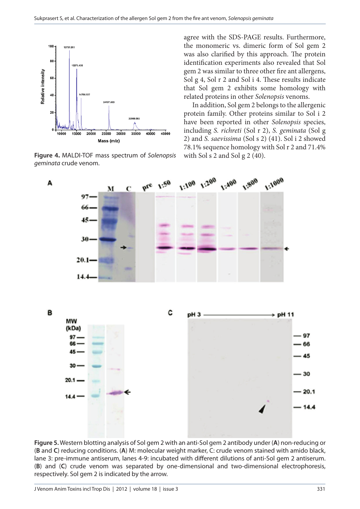



agree with the SDS-PAGE results. Furthermore, the monomeric vs. dimeric form of Sol gem 2 was also clarified by this approach. The protein identification experiments also revealed that Sol gem 2 was similar to three other fire ant allergens, Sol g 4, Sol r 2 and Sol i 4. These results indicate that Sol gem 2 exhibits some homology with related proteins in other *Solenopsis* venoms.

In addition, Sol gem 2 belongs to the allergenic protein family. Other proteins similar to Sol i 2 have been reported in other *Solenopsis* species, including *S. richreti* (Sol r 2), *S. geminata* (Sol g 2) and *S. saevissima* (Sol s 2) (41). Sol i 2 showed 78.1% sequence homology with Sol r 2 and 71.4%



**Figure 5.** Western blotting analysis of Sol gem 2 with an anti-Sol gem 2 antibody under (**A**) non-reducing or (**B** and **C**) reducing conditions. (**A**) M: molecular weight marker, C: crude venom stained with amido black, lane 3: pre-immune antiserum, lanes 4-9: incubated with different dilutions of anti-Sol gem 2 antiserum. (**B**) and (**C**) crude venom was separated by one-dimensional and two-dimensional electrophoresis, respectively. Sol gem 2 is indicated by the arrow.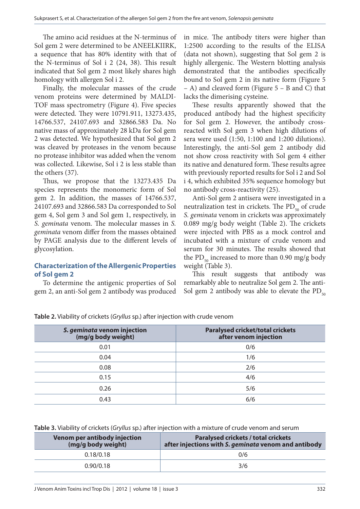The amino acid residues at the N-terminus of Sol gem 2 were determined to be ANEELKIIRK, a sequence that has 80% identity with that of the N-terminus of Sol i 2 (24, 38). This result indicated that Sol gem 2 most likely shares high homology with allergen Sol i 2.

Finally, the molecular masses of the crude venom proteins were determined by MALDI-TOF mass spectrometry (Figure 4). Five species were detected. They were 10791.911, 13273.435, 14766.537, 24107.693 and 32866.583 Da. No native mass of approximately 28 kDa for Sol gem 2 was detected. We hypothesized that Sol gem 2 was cleaved by proteases in the venom because no protease inhibitor was added when the venom was collected. Likewise, Sol i 2 is less stable than the others (37).

Thus, we propose that the 13273.435 Da species represents the monomeric form of Sol gem 2. In addition, the masses of 14766.537, 24107.693 and 32866.583 Da corresponded to Sol gem 4, Sol gem 3 and Sol gem 1, respectively, in *S. geminata* venom. The molecular masses in *S. geminata* venom differ from the masses obtained by PAGE analysis due to the different levels of glycosylation.

### **Characterization of the Allergenic Properties of Sol gem 2**

To determine the antigenic properties of Sol gem 2, an anti-Sol gem 2 antibody was produced in mice. The antibody titers were higher than 1:2500 according to the results of the ELISA (data not shown), suggesting that Sol gem 2 is highly allergenic. The Western blotting analysis demonstrated that the antibodies specifically bound to Sol gem 2 in its native form (Figure 5 – A) and cleaved form (Figure 5 – B and C) that lacks the dimerising cysteine.

These results apparently showed that the produced antibody had the highest specificity for Sol gem 2. However, the antibody crossreacted with Sol gem 3 when high dilutions of sera were used (1:50, 1:100 and 1:200 dilutions). Interestingly, the anti-Sol gem 2 antibody did not show cross reactivity with Sol gem 4 either its native and denatured form. These results agree with previously reported results for Sol i 2 and Sol i 4, which exhibited 35% sequence homology but no antibody cross-reactivity (25).

Anti-Sol gem 2 antisera were investigated in a neutralization test in crickets. The  $PD_{50}$  of crude *S. geminata* venom in crickets was approximately 0.089 mg/g body weight (Table 2). The crickets were injected with PBS as a mock control and incubated with a mixture of crude venom and serum for 30 minutes. The results showed that the PD $_{50}$  increased to more than 0.90 mg/g body weight (Table 3).

This result suggests that antibody was remarkably able to neutralize Sol gem 2. The anti-Sol gem 2 antibody was able to elevate the  $PD_{50}$ 

| S. geminata venom injection<br>(mg/g body weight) | <b>Paralysed cricket/total crickets</b><br>after venom injection |
|---------------------------------------------------|------------------------------------------------------------------|
| 0.01                                              | 0/6                                                              |
| 0.04                                              | 1/6                                                              |
| 0.08                                              | 2/6                                                              |
| 0.15                                              | 4/6                                                              |
| 0.26                                              | 5/6                                                              |
| 0.43                                              | 6/6                                                              |

**Table 2.** Viability of crickets (*Gryllus* sp.) after injection with crude venom

**Table 3.** Viability of crickets (*Gryllus* sp.) after injection with a mixture of crude venom and serum

| Venom per antibody injection<br>(mg/g body weight) | <b>Paralysed crickets / total crickets</b><br>after injections with S. geminata venom and antibody |
|----------------------------------------------------|----------------------------------------------------------------------------------------------------|
| 0.18/0.18                                          | 0/6                                                                                                |
| 0.90/0.18                                          | 3/6                                                                                                |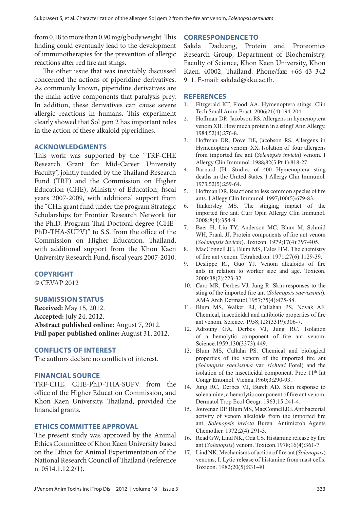from 0.18 to more than 0.90 mg/g body weight. This finding could eventually lead to the development of immunotherapies for the prevention of allergic reactions after red fire ant stings.

The other issue that was inevitably discussed concerned the actions of piperidine derivatives. As commonly known, piperidine derivatives are the main active components that paralysis prey. In addition, these derivatives can cause severe allergic reactions in humans. This experiment clearly showed that Sol gem 2 has important roles in the action of these alkaloid piperidines.

### **ACKNOWLEDGMENTS**

This work was supported by the "TRF-CHE Research Grant for Mid-Career University Faculty", jointly funded by the Thailand Research Fund (TRF) and the Commission on Higher Education (CHE), Ministry of Education, fiscal years 2007-2009, with additional support from the "CHE grant fund under the program Strategic Scholarships for Frontier Research Network for the Ph.D. Program Thai Doctoral degree (CHE-PhD-THA-SUPV)" to S.S. from the office of the Commission on Higher Education, Thailand, with additional support from the Khon Kaen University Research Fund, fiscal years 2007-2010.

### **COPYRIGHT**

© CEVAP 2012

## **SUBMISSION STATUS**

**Received:** May 15, 2012. **Accepted:** July 24, 2012. **Abstract published online:** August 7, 2012. **Full paper published online:** August 31, 2012.

### **CONFLICTS OF INTEREST**

The authors declare no conflicts of interest.

### **FINANCIAL SOURCE**

TRF-CHE, CHE-PhD-THA-SUPV from the office of the Higher Education Commission, and Khon Kaen University, Thailand, provided the financial grants.

### **ETHICS COMMITTEE APPROVAL**

The present study was approved by the Animal Ethics Committee of Khon Kaen University based on the Ethics for Animal Experimentation of the National Research Council of Thailand (reference n. 0514.1.12.2/1).

### **CORRESPONDENCE TO**

Sakda Daduang, Protein and Proteomics Research Group, Department of Biochemistry, Faculty of Science, Khon Kaen University, Khon Kaen, 40002, Thailand. Phone/fax: +66 43 342 911. E-mail: sakdad@kku.ac.th.

#### **REFERENCES**

- 1. Fitzgerald KT, Flood AA. Hymenoptera stings. Clin Tech Small Anim Pract. 2006;21(4):194-204.
- 2. Hoffman DR, Jacobson RS. Allergens in hymenoptera venom XII. How much protein in a sting? Ann Allergy. 1984;52(4):276-8.
- 3. Hoffman DR, Dove DE, Jacobson RS. Allergens in Hymenoptera venom. XX. Isolation of four allergens from imported fire ant (*Solenopsis invicta*) venom. J Allergy Clin Immunol. 1988;82(5 Pt 1):818-27.
- 4. Barnard JH. Studies of 400 Hymenoptera sting deaths in the United States. J Allergy Clin Immunol. 1973;52(5):259-64.
- 5. Hoffman DR. Reactions to less common species of fire ants. J Allegy Clin Immunol. 1997;100(5):679-83*.*
- 6. Tankersley MS. The stinging impact of the imported fire ant. Curr Opin Allergy Clin Immunol. 2008;8(4):354-9.
- 7. Baer H, Liu TY, Anderson MC, Blum M, Schmid WH, Frank JJ. Protein components of fire ant venom (*Solenopsis invicta*). Toxicon. 1979;17(4):397-405.
- 8. MacConnell JG, Blum MS, Fales HM. The chemistry of fire ant venom. Tetrahedron. 1971;27(6):1129-39.
- 9. Deslippe RJ, Guo YJ. Venom alkaloids of fire ants in relation to worker size and age. Toxicon. 2000;38(2):223-32.
- 10. Caro MR, Derbes VJ, Jung R. Skin responses to the sting of the imported fire ant (*Solenopsis saevissima*). AMA Arch Dermatol.1957;75(4):475-88.
- 11. Blum MS, Walker RJ, Callahan PS, Novak AF. Chemical, insecticidal and antibiotic properties of fire ant venom. Science. 1958;128(3319):306-7.
- 12. Adrouny GA, Derbes VJ, Jung RC. Isolation of a hemolytic component of fire ant venom. Science.1959;130(3373):449.
- 13. Blum MS, Callahn PS. Chemical and biological properties of the venom of the imported fire ant (*Solenopsis saevissima* var. *richteri* Forel) and the isolation of the insecticidal component. Proc  $11<sup>th</sup>$  Int Congr Entomol. Vienna.1960;3:290-93.
- 14. Jung RC, Derbes VJ, Burch AD. Skin response to solenamine, a hemolytic component of fire ant venom. Dermatol Trop Ecol Geogr. 1963;15:241-4.
- 15. Jouvenaz DP, Blum MS, MacConnell JG. Antibacterial activity of venom alkaloids from the imported fire ant, *Solenopsis invicta* Buren. Antimicrob Agents Chemother. 1972;2(4):291-3.
- 16. Read GW, Lind NK, Oda CS. Histamine release by fire ant (*Solenopsis*) venom. Toxicon.1978;16(4):361-7.
- 17. Lind NK. Mechanisms of action of fire ant (*Solenopsis*) venoms, I. Lytic release of histamine from mast cells. Toxicon. 1982;20(5):831-40.